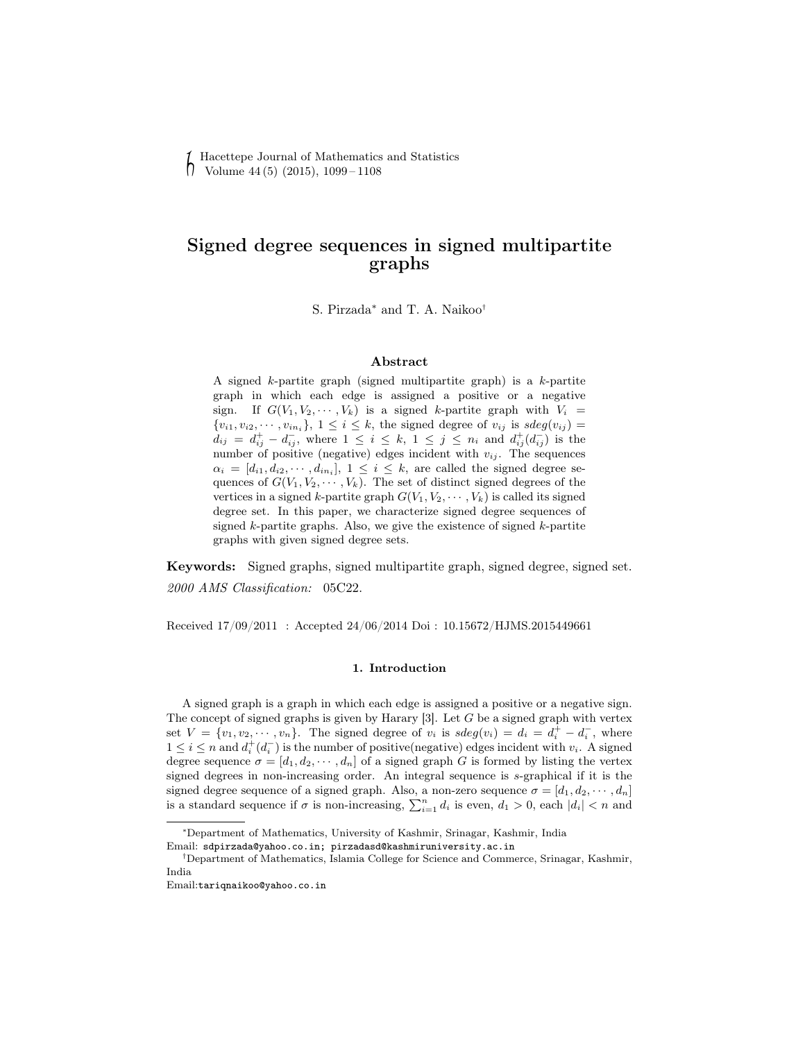Hacettepe Journal of Mathematics and Statistics  $\bigcap$  Volume 44 (5) (2015), 1099 – 1108

# Signed degree sequences in signed multipartite graphs

S. Pirzada<sup>∗</sup> and T. A. Naikoo<sup>†</sup>

## Abstract

A signed k-partite graph (signed multipartite graph) is a k-partite graph in which each edge is assigned a positive or a negative sign. If  $G(V_1, V_2, \dots, V_k)$  is a signed k-partite graph with  $V_i =$  ${v_{i1}, v_{i2}, \cdots, v_{in_i}}$ ,  $1 \leq i \leq k$ , the signed degree of  $v_{ij}$  is  $sdeg(v_{ij})$  $d_{ij} = d_{ij}^+ - d_{ij}^-$ , where  $1 \leq i \leq k$ ,  $1 \leq j \leq n_i$  and  $d_{ij}^+(d_{ij}^-)$  is the number of positive (negative) edges incident with  $v_{ij}$ . The sequences  $\alpha_i = [d_{i1}, d_{i2}, \cdots, d_{in_i}], 1 \leq i \leq k$ , are called the signed degree sequences of  $G(V_1, V_2, \cdots, V_k)$ . The set of distinct signed degrees of the vertices in a signed k-partite graph  $G(V_1, V_2, \dots, V_k)$  is called its signed degree set. In this paper, we characterize signed degree sequences of signed  $k$ -partite graphs. Also, we give the existence of signed  $k$ -partite graphs with given signed degree sets.

Keywords: Signed graphs, signed multipartite graph, signed degree, signed set. 2000 AMS Classification: 05C22.

Received 17/09/2011 : Accepted 24/06/2014 Doi : 10.15672/HJMS.2015449661

#### 1. Introduction

A signed graph is a graph in which each edge is assigned a positive or a negative sign. The concept of signed graphs is given by Harary  $[3]$ . Let G be a signed graph with vertex set  $V = \{v_1, v_2, \dots, v_n\}$ . The signed degree of  $v_i$  is  $sdeg(v_i) = d_i = d_i^+ - d_i^-$ , where  $1 \leq i \leq n$  and  $d_i^+(d_i^-)$  is the number of positive(negative) edges incident with  $v_i$ . A signed degree sequence  $\sigma = [d_1, d_2, \dots, d_n]$  of a signed graph G is formed by listing the vertex signed degrees in non-increasing order. An integral sequence is s-graphical if it is the signed degree sequence of a signed graph. Also, a non-zero sequence  $\sigma = [d_1, d_2, \dots, d_n]$ is a standard sequence if  $\sigma$  is non-increasing,  $\sum_{i=1}^{n} d_i$  is even,  $d_1 > 0$ , each  $|d_i| < n$  and

India

<sup>∗</sup>Department of Mathematics, University of Kashmir, Srinagar, Kashmir, India

Email: sdpirzada@yahoo.co.in; pirzadasd@kashmiruniversity.ac.in

<sup>†</sup>Department of Mathematics, Islamia College for Science and Commerce, Srinagar, Kashmir,

Email:tariqnaikoo@yahoo.co.in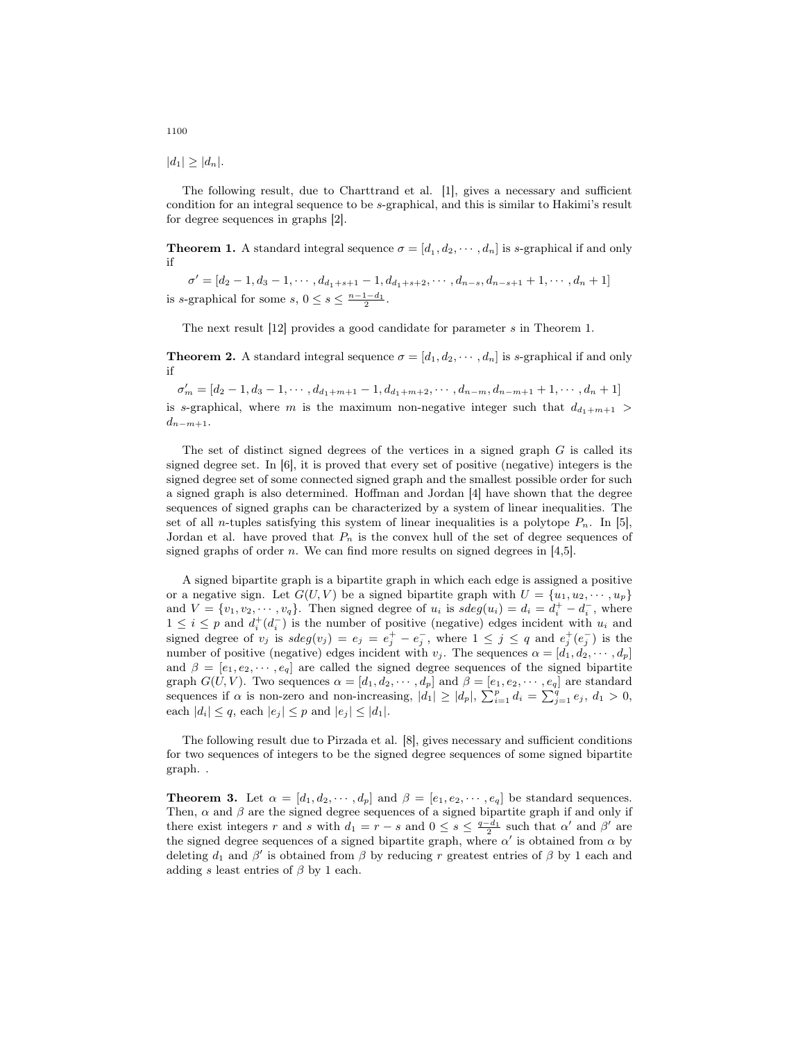$|d_1| \geq |d_n|$ .

The following result, due to Charttrand et al. [1], gives a necessary and sufficient condition for an integral sequence to be s-graphical, and this is similar to Hakimi's result for degree sequences in graphs [2].

**Theorem 1.** A standard integral sequence  $\sigma = [d_1, d_2, \dots, d_n]$  is s-graphical if and only if

 $\sigma' = [d_2 - 1, d_3 - 1, \cdots, d_{d_1+s+1} - 1, d_{d_1+s+2}, \cdots, d_{n-s}, d_{n-s+1} + 1, \cdots, d_n + 1]$ is s-graphical for some  $s, 0 \leq s \leq \frac{n-1-d_1}{2}$ .

The next result [12] provides a good candidate for parameter s in Theorem 1.

**Theorem 2.** A standard integral sequence  $\sigma = [d_1, d_2, \cdots, d_n]$  is s-graphical if and only if

 $\sigma'_{m} = [d_2 - 1, d_3 - 1, \cdots, d_{d_1 + m + 1} - 1, d_{d_1 + m + 2}, \cdots, d_{n - m}, d_{n - m + 1} + 1, \cdots, d_n + 1]$ is s-graphical, where m is the maximum non-negative integer such that  $d_{d_1+m+1}$  $d_{n-m+1}$ .

The set of distinct signed degrees of the vertices in a signed graph  $G$  is called its signed degree set. In [6], it is proved that every set of positive (negative) integers is the signed degree set of some connected signed graph and the smallest possible order for such a signed graph is also determined. Hoffman and Jordan [4] have shown that the degree sequences of signed graphs can be characterized by a system of linear inequalities. The set of all *n*-tuples satisfying this system of linear inequalities is a polytope  $P_n$ . In [5], Jordan et al. have proved that  $P_n$  is the convex hull of the set of degree sequences of signed graphs of order n. We can find more results on signed degrees in [4,5].

A signed bipartite graph is a bipartite graph in which each edge is assigned a positive or a negative sign. Let  $G(U, V)$  be a signed bipartite graph with  $U = \{u_1, u_2, \dots, u_p\}$ and  $V = \{v_1, v_2, \dots, v_q\}$ . Then signed degree of  $u_i$  is  $sdeg(u_i) = d_i = d_i^+ - d_i^-$ , where  $1 \leq i \leq p$  and  $d_i^+(d_i^-)$  is the number of positive (negative) edges incident with  $u_i$  and signed degree of  $v_j$  is  $sdeg(v_j) = e_j = e_j^+ - e_j^-$ , where  $1 \leq j \leq q$  and  $e_j^+(e_j^-)$  is the number of positive (negative) edges incident with  $v_j$ . The sequences  $\alpha = [\dot{d}_1, \dot{d}_2, \cdots, d_p]$ and  $\beta = [e_1, e_2, \dots, e_q]$  are called the signed degree sequences of the signed bipartite graph  $G(U, V)$ . Two sequences  $\alpha = [d_1, d_2, \cdots, d_p]$  and  $\beta = [e_1, e_2, \cdots, e_q]$  are standard sequences if  $\alpha$  is non-zero and non-increasing,  $|d_1| \ge |d_p|$ ,  $\sum_{i=1}^p d_i = \sum_{j=1}^q e_j$ ,  $d_1 > 0$ , each  $|d_i| \leq q$ , each  $|e_j| \leq p$  and  $|e_j| \leq |d_1|$ .

The following result due to Pirzada et al. [8], gives necessary and sufficient conditions for two sequences of integers to be the signed degree sequences of some signed bipartite graph. .

**Theorem 3.** Let  $\alpha = [d_1, d_2, \dots, d_p]$  and  $\beta = [e_1, e_2, \dots, e_q]$  be standard sequences. Then,  $\alpha$  and  $\beta$  are the signed degree sequences of a signed bipartite graph if and only if there exist integers r and s with  $d_1 = r - s$  and  $0 \le s \le \frac{q - d_1}{2}$  such that  $\alpha'$  and  $\beta'$  are the signed degree sequences of a signed bipartite graph, where  $\alpha'$  is obtained from  $\alpha$  by deleting  $d_1$  and  $\beta'$  is obtained from  $\beta$  by reducing r greatest entries of  $\beta$  by 1 each and adding s least entries of  $\beta$  by 1 each.

1100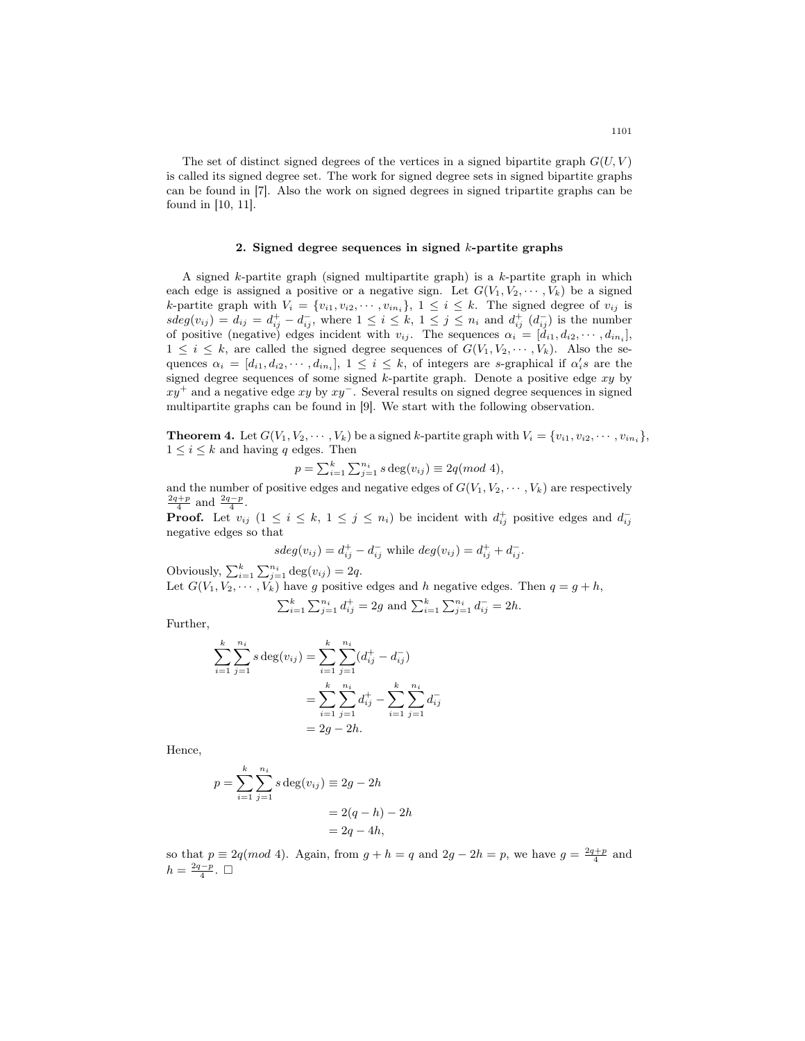The set of distinct signed degrees of the vertices in a signed bipartite graph  $G(U, V)$ is called its signed degree set. The work for signed degree sets in signed bipartite graphs can be found in [7]. Also the work on signed degrees in signed tripartite graphs can be found in [10, 11].

#### 2. Signed degree sequences in signed  $k$ -partite graphs

A signed  $k$ -partite graph (signed multipartite graph) is a  $k$ -partite graph in which each edge is assigned a positive or a negative sign. Let  $G(V_1, V_2, \dots, V_k)$  be a signed k-partite graph with  $V_i = \{v_{i1}, v_{i2}, \cdots, v_{in_i}\}, 1 \leq i \leq k$ . The signed degree of  $v_{ij}$  is  $sdeg(v_{ij}) = d_{ij} = d_{ij}^+ - d_{ij}^-$ , where  $1 \leq i \leq k$ ,  $1 \leq j \leq n_i$  and  $d_{ij}^+(d_{ij}^-)$  is the number of positive (negative) edges incident with  $v_{ij}$ . The sequences  $\alpha_i = [d_{i1}, d_{i2}, \cdots, d_{in_i}]$ ,  $1 \leq i \leq k$ , are called the signed degree sequences of  $G(V_1, V_2, \dots, V_k)$ . Also the sequences  $\alpha_i = [d_{i1}, d_{i2}, \cdots, d_{in_i}], 1 \leq i \leq k$ , of integers are s-graphical if  $\alpha_i$ 's are the signed degree sequences of some signed  $k$ -partite graph. Denote a positive edge  $xy$  by  $xy^+$  and a negative edge xy by  $xy^-$ . Several results on signed degree sequences in signed multipartite graphs can be found in [9]. We start with the following observation.

**Theorem 4.** Let  $G(V_1, V_2, \dots, V_k)$  be a signed k-partite graph with  $V_i = \{v_{i1}, v_{i2}, \dots, v_{in_i}\},$  $1 \leq i \leq k$  and having q edges. Then

$$
p = \sum_{i=1}^{k} \sum_{j=1}^{n_i} s \deg(v_{ij}) \equiv 2q \pmod{4},
$$

and the number of positive edges and negative edges of  $G(V_1, V_2, \dots, V_k)$  are respectively  $\frac{2q+p}{4}$  and  $\frac{2q-p}{4}$ .

**Proof.** Let  $v_{ij}$   $(1 \le i \le k, 1 \le j \le n_i)$  be incident with  $d_{ij}^+$  positive edges and  $d_{ij}^$ negative edges so that

$$
sdeg(v_{ij}) = d_{ij}^+ - d_{ij}^-
$$
 while  $deg(v_{ij}) = d_{ij}^+ + d_{ij}^-$ .

Obviously,  $\sum_{i=1}^{k} \sum_{j=1}^{n_i} \deg(v_{ij}) = 2q$ . Let  $G(V_1, V_2, \dots, V_k)$  have g positive edges and h negative edges. Then  $q = g + h$ ,

$$
\sum_{i=1}^{k} \sum_{j=1}^{n_i} d_{ij}^+ = 2g \text{ and } \sum_{i=1}^{k} \sum_{j=1}^{n_i} d_{ij}^- = 2h.
$$

Further,

$$
\sum_{i=1}^{k} \sum_{j=1}^{n_i} s \deg(v_{ij}) = \sum_{i=1}^{k} \sum_{j=1}^{n_i} (d_{ij}^+ - d_{ij}^-)
$$
  
= 
$$
\sum_{i=1}^{k} \sum_{j=1}^{n_i} d_{ij}^+ - \sum_{i=1}^{k} \sum_{j=1}^{n_i} d_{ij}^-
$$
  
= 
$$
2g - 2h.
$$

Hence,

$$
p = \sum_{i=1}^{k} \sum_{j=1}^{n_i} s \deg(v_{ij}) \equiv 2g - 2h
$$

$$
= 2(q - h) - 2h
$$

$$
= 2q - 4h,
$$

so that  $p \equiv 2q \pmod{4}$ . Again, from  $g + h = q$  and  $2g - 2h = p$ , we have  $g = \frac{2q+p}{4}$  and  $h = \frac{2q-p}{4}$ . □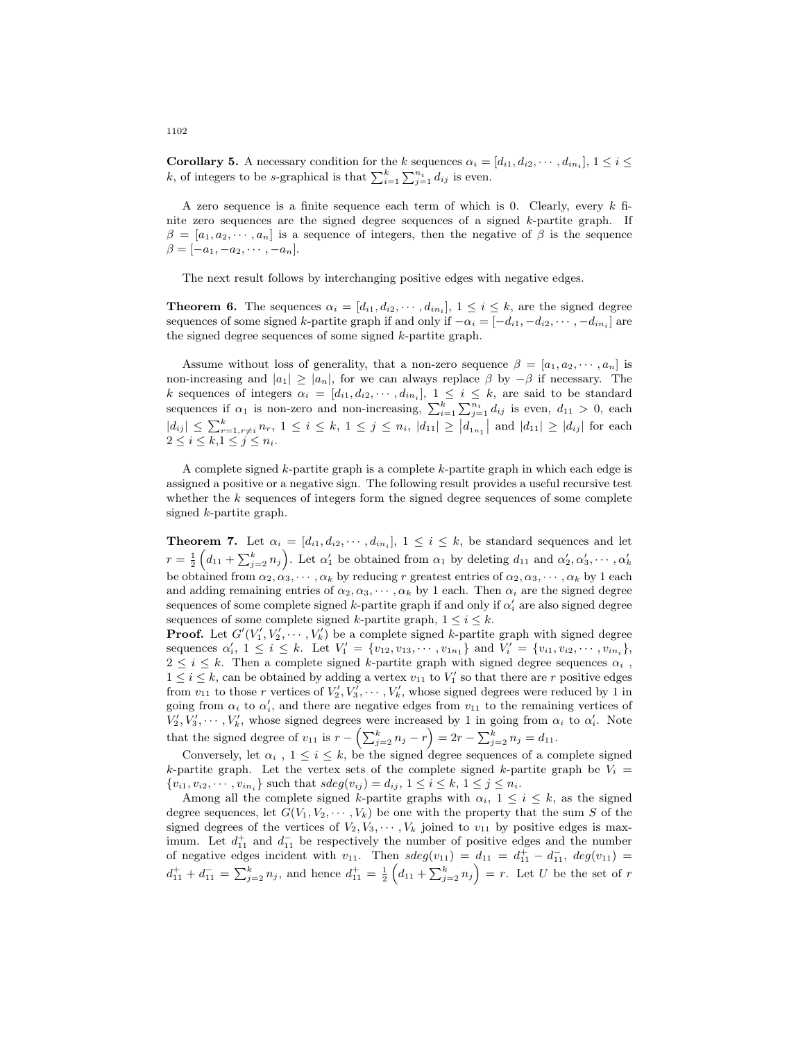**Corollary 5.** A necessary condition for the k sequences  $\alpha_i = [d_{i1}, d_{i2}, \cdots, d_{in_i}], 1 \le i \le n$ k, of integers to be s-graphical is that  $\sum_{i=1}^{k} \sum_{j=1}^{n_i} d_{ij}$  is even.

A zero sequence is a finite sequence each term of which is 0. Clearly, every  $k$  finite zero sequences are the signed degree sequences of a signed k-partite graph. If  $\beta = [a_1, a_2, \cdots, a_n]$  is a sequence of integers, then the negative of  $\beta$  is the sequence  $\beta = [-a_1, -a_2, \cdots, -a_n].$ 

The next result follows by interchanging positive edges with negative edges.

**Theorem 6.** The sequences  $\alpha_i = [d_{i1}, d_{i2}, \cdots, d_{in_i}], 1 \leq i \leq k$ , are the signed degree sequences of some signed k-partite graph if and only if  $-\alpha_i = [-d_{i1}, -d_{i2}, \cdots, -d_{in_i}]$  are the signed degree sequences of some signed k-partite graph.

Assume without loss of generality, that a non-zero sequence  $\beta = [a_1, a_2, \dots, a_n]$  is non-increasing and  $|a_1| \ge |a_n|$ , for we can always replace  $\beta$  by  $-\beta$  if necessary. The k sequences of integers  $\alpha_i = [d_{i1}, d_{i2}, \cdots, d_{in_i}], 1 \leq i \leq k$ , are said to be standard sequences if  $\alpha_1$  is non-zero and non-increasing,  $\sum_{i=1}^k \sum_{j=1}^{n_i} d_{ij}$  is even,  $d_{11} > 0$ , each  $|d_{ij}| \leq \sum_{r=1, r \neq i}^{k} n_r, 1 \leq i \leq k, 1 \leq j \leq n_i, |d_{11}| \geq |d_{1n_1}|$  and  $|d_{11}| \geq |d_{ij}|$  for each  $2 \leq i \leq k, 1 \leq j \leq n_i$ .

A complete signed k-partite graph is a complete k-partite graph in which each edge is assigned a positive or a negative sign. The following result provides a useful recursive test whether the  $k$  sequences of integers form the signed degree sequences of some complete signed k-partite graph.

**Theorem 7.** Let  $\alpha_i = [d_{i1}, d_{i2}, \cdots, d_{in_i}], 1 \leq i \leq k$ , be standard sequences and let  $r = \frac{1}{2} \left( d_{11} + \sum_{j=2}^k n_j \right)$ . Let  $\alpha'_1$  be obtained from  $\alpha_1$  by deleting  $d_{11}$  and  $\alpha'_2, \alpha'_3, \cdots, \alpha'_k$ be obtained from  $\alpha_2, \alpha_3, \cdots, \alpha_k$  by reducing r greatest entries of  $\alpha_2, \alpha_3, \cdots, \alpha_k$  by 1 each and adding remaining entries of  $\alpha_2, \alpha_3, \cdots, \alpha_k$  by 1 each. Then  $\alpha_i$  are the signed degree sequences of some complete signed  $k$ -partite graph if and only if  $\alpha'_i$  are also signed degree sequences of some complete signed k-partite graph,  $1 \leq i \leq k$ .

**Proof.** Let  $G'(V'_1, V'_2, \dots, V'_k)$  be a complete signed k-partite graph with signed degree sequences  $\alpha'_i, 1 \leq i \leq k$ . Let  $V'_1 = \{v_{12}, v_{13}, \cdots, v_{1n_1}\}$  and  $V'_i = \{v_{i1}, v_{i2}, \cdots, v_{in_i}\},$  $2 \leq i \leq k$ . Then a complete signed k-partite graph with signed degree sequences  $\alpha_i$ ,  $1 \leq i \leq k$ , can be obtained by adding a vertex  $v_{11}$  to  $V'_1$  so that there are r positive edges from  $v_{11}$  to those r vertices of  $V'_2, V'_3, \cdots, V'_k$ , whose signed degrees were reduced by 1 in going from  $\alpha_i$  to  $\alpha'_i$ , and there are negative edges from  $v_{11}$  to the remaining vertices of  $V_2', V_3', \cdots, V_k'$ , whose signed degrees were increased by 1 in going from  $\alpha_i$  to  $\alpha'_i$ . Note that the signed degree of  $v_{11}$  is  $r - \left(\sum_{j=2}^{k} n_j - r\right) = 2r - \sum_{j=2}^{k} n_j = d_{11}$ .

Conversely, let  $\alpha_i$ ,  $1 \leq i \leq k$ , be the signed degree sequences of a complete signed k-partite graph. Let the vertex sets of the complete signed k-partite graph be  $V_i$  $\{v_{i1}, v_{i2}, \dots, v_{in_i}\}\$  such that  $sdeg(v_{ij}) = d_{ij}, 1 \le i \le k, 1 \le j \le n_i.$ 

Among all the complete signed k-partite graphs with  $\alpha_i$ ,  $1 \leq i \leq k$ , as the signed degree sequences, let  $G(V_1, V_2, \dots, V_k)$  be one with the property that the sum S of the signed degrees of the vertices of  $V_2, V_3, \dots, V_k$  joined to  $v_{11}$  by positive edges is maximum. Let  $d_{11}^+$  and  $d_{11}^-$  be respectively the number of positive edges and the number of negative edges incident with  $v_{11}$ . Then  $sdeg(v_{11}) = d_{11} = d_{11}^+ - d_{11}^-$ ,  $deg(v_{11}) =$  $d_{11}^+ + d_{11}^- = \sum_{j=2}^k n_j$ , and hence  $d_{11}^+ = \frac{1}{2} \left( d_{11} + \sum_{j=2}^k n_j \right) = r$ . Let U be the set of r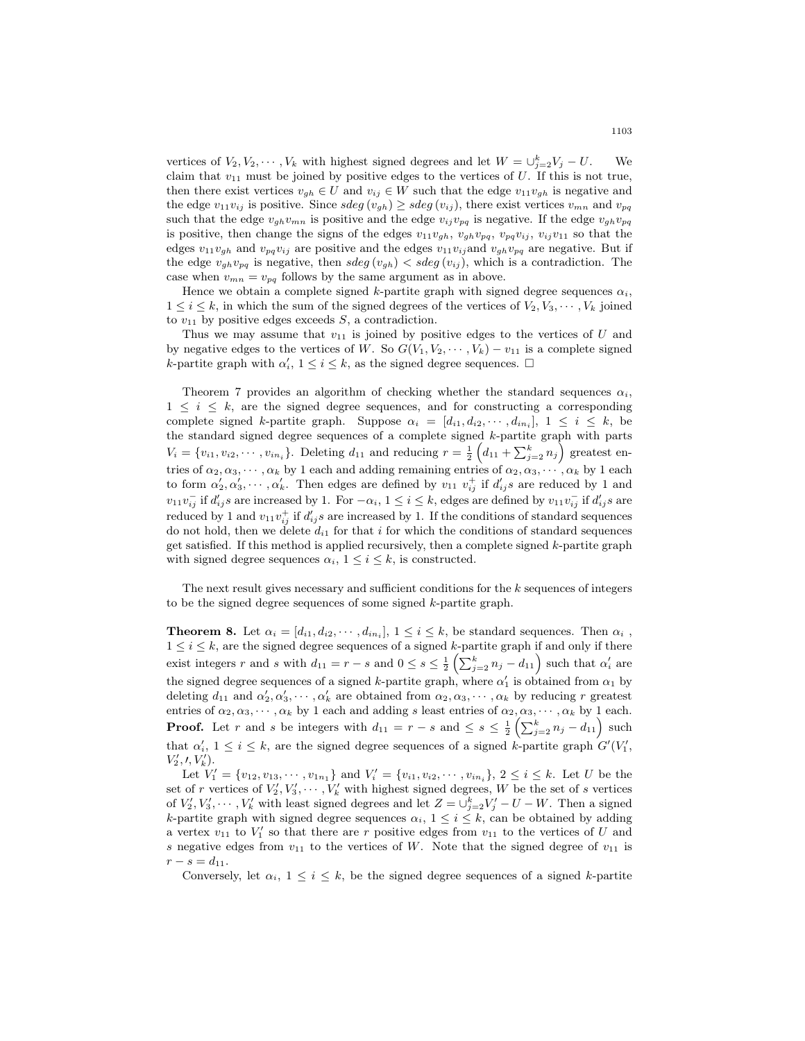vertices of  $V_2, V_2, \cdots, V_k$  with highest signed degrees and let  $W = \bigcup_{j=2}^k V_j - U$ . We claim that  $v_{11}$  must be joined by positive edges to the vertices of U. If this is not true, then there exist vertices  $v_{gh} \in U$  and  $v_{ij} \in W$  such that the edge  $v_{11}v_{gh}$  is negative and the edge  $v_{11}v_{ij}$  is positive. Since  $sdeg(v_{gh}) \geq sdeg(v_{ij})$ , there exist vertices  $v_{mn}$  and  $v_{pq}$ such that the edge  $v_{gh}v_{mn}$  is positive and the edge  $v_{ij}v_{pq}$  is negative. If the edge  $v_{gh}v_{pq}$ is positive, then change the signs of the edges  $v_{11}v_{gh}$ ,  $v_{gh}v_{pq}$ ,  $v_{pq}v_{ij}$ ,  $v_{ij}v_{11}$  so that the edges  $v_{11}v_{gh}$  and  $v_{pq}v_{ij}$  are positive and the edges  $v_{11}v_{ij}$  and  $v_{gh}v_{pq}$  are negative. But if the edge  $v_{gh}v_{pq}$  is negative, then sdeg  $(v_{gh}) <$  sdeg  $(v_{ij})$ , which is a contradiction. The case when  $v_{mn} = v_{pq}$  follows by the same argument as in above.

Hence we obtain a complete signed k-partite graph with signed degree sequences  $\alpha_i$ ,  $1 \leq i \leq k$ , in which the sum of the signed degrees of the vertices of  $V_2, V_3, \dots, V_k$  joined to  $v_{11}$  by positive edges exceeds  $S$ , a contradiction.

Thus we may assume that  $v_{11}$  is joined by positive edges to the vertices of U and by negative edges to the vertices of W. So  $G(V_1, V_2, \cdots, V_k) - v_{11}$  is a complete signed k-partite graph with  $\alpha'_i$ ,  $1 \leq i \leq k$ , as the signed degree sequences.  $\Box$ 

Theorem 7 provides an algorithm of checking whether the standard sequences  $\alpha_i$ ,  $1 \leq i \leq k$ , are the signed degree sequences, and for constructing a corresponding complete signed k-partite graph. Suppose  $\alpha_i = [d_{i1}, d_{i2}, \cdots, d_{in_i}], 1 \leq i \leq k$ , be the standard signed degree sequences of a complete signed k-partite graph with parts  $V_i = \{v_{i1}, v_{i2}, \cdots, v_{in_i}\}.$  Deleting  $d_{11}$  and reducing  $r = \frac{1}{2} \left( d_{11} + \sum_{j=2}^k n_j \right)$  greatest entries of  $\alpha_2, \alpha_3, \cdots, \alpha_k$  by 1 each and adding remaining entries of  $\alpha_2, \alpha_3, \cdots, \alpha_k$  by 1 each to form  $\alpha'_2, \alpha'_3, \cdots, \alpha'_k$ . Then edges are defined by  $v_{11}$   $v_{ij}^+$  if  $d'_{ij}s$  are reduced by 1 and  $v_1v_{ij}^-$  if  $d'_{ij}s$  are increased by 1. For  $-\alpha_i$ ,  $1 \le i \le k$ , edges are defined by  $v_{11}v_{ij}^-$  if  $d'_{ij}s$  are reduced by 1 and  $v_{11}v_{ij}^+$  if  $d'_{ij}s$  are increased by 1. If the conditions of standard sequences do not hold, then we delete  $d_{i1}$  for that i for which the conditions of standard sequences get satisfied. If this method is applied recursively, then a complete signed  $k$ -partite graph with signed degree sequences  $\alpha_i$ ,  $1 \leq i \leq k$ , is constructed.

The next result gives necessary and sufficient conditions for the k sequences of integers to be the signed degree sequences of some signed k-partite graph.

**Theorem 8.** Let  $\alpha_i = [d_{i1}, d_{i2}, \cdots, d_{in_i}], 1 \leq i \leq k$ , be standard sequences. Then  $\alpha_i$ ,  $1 \leq i \leq k$ , are the signed degree sequences of a signed k-partite graph if and only if there exist integers r and s with  $d_{11} = r - s$  and  $0 \le s \le \frac{1}{2} \left( \sum_{j=2}^{k} n_j - d_{11} \right)$  such that  $\alpha'_i$  are the signed degree sequences of a signed k-partite graph, where  $\alpha'_1$  is obtained from  $\alpha_1$  by deleting  $d_{11}$  and  $\alpha'_2, \alpha'_3, \cdots, \alpha'_k$  are obtained from  $\alpha_2, \alpha_3, \cdots, \alpha_k$  by reducing r greatest entries of  $\alpha_2, \alpha_3, \cdots, \alpha_k$  by 1 each and adding s least entries of  $\alpha_2, \alpha_3, \cdots, \alpha_k$  by 1 each. **Proof.** Let r and s be integers with  $d_{11} = r - s$  and  $\leq s \leq \frac{1}{2} \left( \sum_{j=2}^{k} n_j - d_{11} \right)$  such that  $\alpha'_i$ ,  $1 \leq i \leq k$ , are the signed degree sequences of a signed k-partite graph  $G'(V'_1)$ ,  $V'_{2}, \prime, V'_{k}).$ 

Let  $V'_1 = \{v_{12}, v_{13}, \cdots, v_{1n_1}\}$  and  $V'_i = \{v_{i1}, v_{i2}, \cdots, v_{in_i}\}, 2 \le i \le k$ . Let U be the set of r vertices of  $V_2', V_3', \cdots, V_k'$  with highest signed degrees, W be the set of s vertices of  $V_2', V_3', \cdots, V_k'$  with least signed degrees and let  $Z = \bigcup_{j=2}^k V_j' - U - W$ . Then a signed k-partite graph with signed degree sequences  $\alpha_i$ ,  $1 \leq i \leq k$ , can be obtained by adding a vertex  $v_{11}$  to  $V'_1$  so that there are r positive edges from  $v_{11}$  to the vertices of U and s negative edges from  $v_{11}$  to the vertices of W. Note that the signed degree of  $v_{11}$  is  $r - s = d_{11}.$ 

Conversely, let  $\alpha_i$ ,  $1 \leq i \leq k$ , be the signed degree sequences of a signed k-partite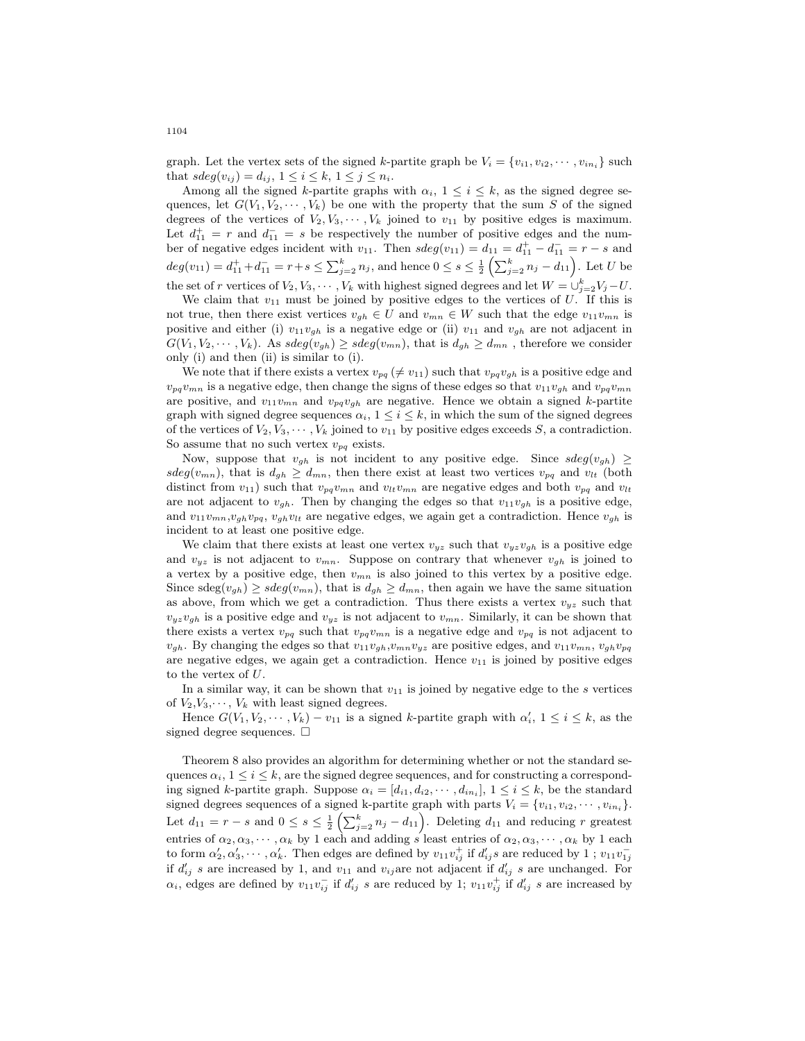graph. Let the vertex sets of the signed k-partite graph be  $V_i = \{v_{i1}, v_{i2}, \dots, v_{in_i}\}\$  such that  $sdeg(v_{ij}) = d_{ij}, 1 \leq i \leq k, 1 \leq j \leq n_i.$ 

Among all the signed k-partite graphs with  $\alpha_i$ ,  $1 \leq i \leq k$ , as the signed degree sequences, let  $G(V_1, V_2, \dots, V_k)$  be one with the property that the sum S of the signed degrees of the vertices of  $V_2, V_3, \cdots, V_k$  joined to  $v_{11}$  by positive edges is maximum. Let  $d_{11}^+ = r$  and  $d_{11}^- = s$  be respectively the number of positive edges and the number of negative edges incident with  $v_{11}$ . Then  $sdeg(v_{11}) = d_{11} = d_{11}^+ - d_{11}^- = r - s$  and  $deg(v_{11}) = d_{11}^+ + d_{11}^- = r + s \leq \sum_{j=2}^k n_j$ , and hence  $0 \leq s \leq \frac{1}{2} \left( \sum_{j=2}^k n_j - d_{11} \right)$ . Let U be the set of r vertices of  $V_2, V_3, \cdots, V_k$  with highest signed degrees and let  $W = \bigcup_{j=2}^k V_j - U$ .

We claim that  $v_{11}$  must be joined by positive edges to the vertices of U. If this is not true, then there exist vertices  $v_{gh} \in U$  and  $v_{mn} \in W$  such that the edge  $v_{11}v_{mn}$  is positive and either (i)  $v_{11}v_{gh}$  is a negative edge or (ii)  $v_{11}$  and  $v_{gh}$  are not adjacent in  $G(V_1, V_2, \dots, V_k)$ . As  $sdeg(v_{gh}) \geq sdeg(v_{mn})$ , that is  $d_{gh} \geq d_{mn}$ , therefore we consider only (i) and then (ii) is similar to (i).

We note that if there exists a vertex  $v_{pq} \neq v_{11}$  such that  $v_{pq}v_{gh}$  is a positive edge and  $v_{pq}v_{mn}$  is a negative edge, then change the signs of these edges so that  $v_{11}v_{qh}$  and  $v_{pq}v_{mn}$ are positive, and  $v_{11}v_{mn}$  and  $v_{pq}v_{gh}$  are negative. Hence we obtain a signed k-partite graph with signed degree sequences  $\alpha_i$ ,  $1 \leq i \leq k$ , in which the sum of the signed degrees of the vertices of  $V_2, V_3, \cdots, V_k$  joined to  $v_{11}$  by positive edges exceeds S, a contradiction. So assume that no such vertex  $v_{pq}$  exists.

Now, suppose that  $v_{gh}$  is not incident to any positive edge. Since  $sdeg(v_{gh}) \ge$  $sdeg(v_{mn})$ , that is  $d_{gh} \geq d_{mn}$ , then there exist at least two vertices  $v_{pq}$  and  $v_{lt}$  (both distinct from  $v_{11}$ ) such that  $v_{pq}v_{mn}$  and  $v_{lt}v_{mn}$  are negative edges and both  $v_{pq}$  and  $v_{lt}$ are not adjacent to  $v_{gh}$ . Then by changing the edges so that  $v_{11}v_{gh}$  is a positive edge, and  $v_{11}v_{mn}v_{gh}v_{pq}$ ,  $v_{gh}v_{lt}$  are negative edges, we again get a contradiction. Hence  $v_{gh}$  is incident to at least one positive edge.

We claim that there exists at least one vertex  $v_{yz}$  such that  $v_{yz}v_{gh}$  is a positive edge and  $v_{yz}$  is not adjacent to  $v_{mn}$ . Suppose on contrary that whenever  $v_{gh}$  is joined to a vertex by a positive edge, then  $v_{mn}$  is also joined to this vertex by a positive edge. Since  $\text{sdeg}(v_{gh}) \geq \text{sdeg}(v_{mn})$ , that is  $d_{gh} \geq d_{mn}$ , then again we have the same situation as above, from which we get a contradiction. Thus there exists a vertex  $v_{yz}$  such that  $v_{yz}v_{gh}$  is a positive edge and  $v_{yz}$  is not adjacent to  $v_{mn}$ . Similarly, it can be shown that there exists a vertex  $v_{pq}$  such that  $v_{pq}v_{mn}$  is a negative edge and  $v_{pq}$  is not adjacent to  $v_{gh}$ . By changing the edges so that  $v_{11}v_{gh}, v_{mn}v_{yz}$  are positive edges, and  $v_{11}v_{mn}, v_{gh}v_{pq}$ are negative edges, we again get a contradiction. Hence  $v_{11}$  is joined by positive edges to the vertex of U.

In a similar way, it can be shown that  $v_{11}$  is joined by negative edge to the s vertices of  $V_2, V_3, \dots, V_k$  with least signed degrees.

Hence  $G(V_1, V_2, \dots, V_k) - v_{11}$  is a signed k-partite graph with  $\alpha'_i, 1 \le i \le k$ , as the signed degree sequences.  $\square$ 

Theorem 8 also provides an algorithm for determining whether or not the standard sequences  $\alpha_i$ ,  $1 \leq i \leq k$ , are the signed degree sequences, and for constructing a corresponding signed k-partite graph. Suppose  $\alpha_i = [d_{i1}, d_{i2}, \cdots, d_{in_i}], 1 \le i \le k$ , be the standard signed degrees sequences of a signed k-partite graph with parts  $V_i = \{v_{i1}, v_{i2}, \dots, v_{in_i}\}.$ Let  $d_{11} = r - s$  and  $0 \leq s \leq \frac{1}{2} \left( \sum_{j=2}^{k} n_j - d_{11} \right)$ . Deleting  $d_{11}$  and reducing r greatest entries of  $\alpha_2, \alpha_3, \cdots, \alpha_k$  by 1 each and adding s least entries of  $\alpha_2, \alpha_3, \cdots, \alpha_k$  by 1 each to form  $\alpha'_2, \alpha'_3, \cdots, \alpha'_k$ . Then edges are defined by  $v_{11}v_{ij}^+$  if  $d'_{ij}s$  are reduced by 1;  $v_{11}v_{1j}^$ if  $d'_{ij}$  s are increased by 1, and  $v_{11}$  and  $v_{ij}$  are not adjacent if  $d'_{ij}$  s are unchanged. For  $\alpha_i$ , edges are defined by  $v_{11}v_{ij}^-$  if  $d'_{ij}$  s are reduced by 1;  $v_{11}v_{ij}^+$  if  $d'_{ij}$  s are increased by

1104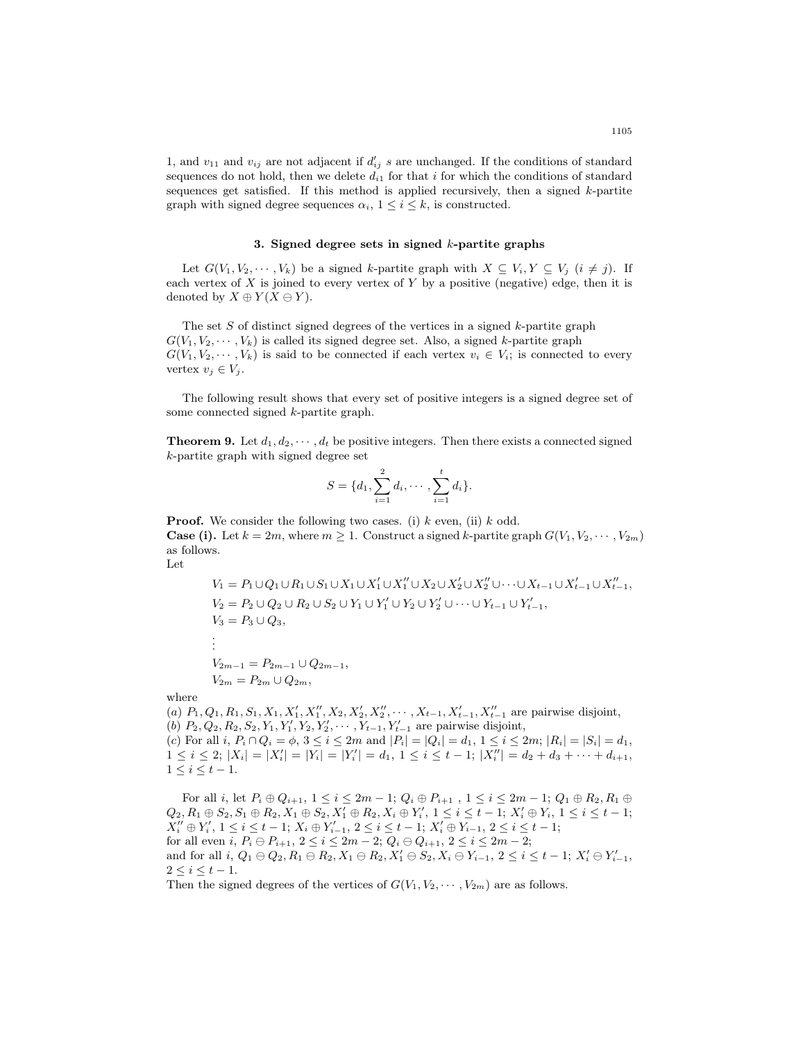1, and  $v_{11}$  and  $v_{ij}$  are not adjacent if  $d'_{ij}$  s are unchanged. If the conditions of standard sequences do not hold, then we delete  $d_{i1}$  for that i for which the conditions of standard sequences get satisfied. If this method is applied recursively, then a signed  $k$ -partite graph with signed degree sequences  $\alpha_i$ ,  $1 \leq i \leq k$ , is constructed.

#### 3. Signed degree sets in signed  $k$ -partite graphs

Let  $G(V_1, V_2, \dots, V_k)$  be a signed k-partite graph with  $X \subseteq V_i, Y \subseteq V_j$   $(i \neq j)$ . If each vertex of  $X$  is joined to every vertex of  $Y$  by a positive (negative) edge, then it is denoted by  $X \oplus Y(X \ominus Y)$ .

The set  $S$  of distinct signed degrees of the vertices in a signed  $k$ -partite graph  $G(V_1, V_2, \dots, V_k)$  is called its signed degree set. Also, a signed k-partite graph  $G(V_1, V_2, \dots, V_k)$  is said to be connected if each vertex  $v_i \in V_i$ ; is connected to every vertex  $v_j \in V_j$ .

The following result shows that every set of positive integers is a signed degree set of some connected signed k-partite graph.

**Theorem 9.** Let  $d_1, d_2, \dots, d_t$  be positive integers. Then there exists a connected signed k-partite graph with signed degree set

$$
S = \{d_1, \sum_{i=1}^2 d_i, \cdots, \sum_{i=1}^t d_i\}.
$$

**Proof.** We consider the following two cases. (i)  $k$  even, (ii)  $k$  odd. **Case (i).** Let  $k = 2m$ , where  $m \geq 1$ . Construct a signed k-partite graph  $G(V_1, V_2, \dots, V_{2m})$ as follows.

Let

$$
V_1 = P_1 \cup Q_1 \cup R_1 \cup S_1 \cup X_1 \cup X_1' \cup X_1'' \cup X_2 \cup X_2' \cup X_2'' \cup \cdots \cup X_{t-1} \cup X_{t-1}' \cup X_{t-1}'',
$$
  
\n
$$
V_2 = P_2 \cup Q_2 \cup R_2 \cup S_2 \cup Y_1 \cup Y_1' \cup Y_2 \cup Y_2' \cup \cdots \cup Y_{t-1} \cup Y_{t-1}',
$$
  
\n
$$
V_3 = P_3 \cup Q_3,
$$
  
\n:  
\n:  
\n
$$
V_{2m-1} = P_{2m-1} \cup Q_{2m-1},
$$
  
\n
$$
V_{2m} = P_{2m} \cup Q_{2m},
$$

where

(a)  $P_1, Q_1, R_1, S_1, X_1, X_1', X_1'', X_2, X_2', X_2'', \cdots, X_{t-1}, X_{t-1}', X_{t-1}''$  are pairwise disjoint, (b)  $P_2, Q_2, R_2, S_2, Y_1, Y_1', Y_2, Y_2', \cdots, Y_{t-1}, Y_{t-1}'$  are pairwise disjoint, (c) For all i,  $P_i \cap Q_i = \phi$ ,  $3 \leq i \leq 2m$  and  $|P_i| = |Q_i| = d_1$ ,  $1 \leq i \leq 2m$ ;  $|R_i| = |S_i| = d_1$ ,  $1 \leq i \leq 2$ ;  $|X_i| = |X'_i| = |Y_i| = |Y'_i| = d_1$ ,  $1 \leq i \leq t-1$ ;  $|X''_i| = d_2 + d_3 + \cdots + d_{i+1}$ ,  $1 \leq i \leq t-1$ .

For all i, let  $P_i\oplus Q_{i+1},\,1\leq i\leq 2m-1;\,Q_i\oplus P_{i+1}$  ,  $1\leq i\leq 2m-1;\,Q_1\oplus R_2,R_1\oplus$  $Q_2, R_1 \oplus S_2, S_1 \oplus R_2, X_1 \oplus S_2, X'_1 \oplus R_2, X_i \oplus Y'_i, 1 \leq i \leq t-1; X'_i \oplus Y_i, 1 \leq i \leq t-1;$  $X''_i \oplus Y'_i, 1 \leq i \leq t-1; X_i \oplus Y'_{i-1}, 2 \leq i \leq t-1; X'_i \oplus Y_{i-1}, 2 \leq i \leq t-1;$ for all even i,  $P_i \ominus P_{i+1}$ ,  $2 \le i \le 2m - 2$ ;  $Q_i \ominus Q_{i+1}$ ,  $2 \le i \le 2m - 2$ ; and for all  $i, Q_1 \oplus Q_2, R_1 \oplus R_2, X_1 \oplus R_2, X'_1 \oplus S_2, X_i \oplus Y_{i-1}, 2 \leq i \leq t-1$ ;  $X'_i \oplus Y'_{i-1}$ ,  $2 \leq i \leq t-1$ .

Then the signed degrees of the vertices of  $G(V_1, V_2, \dots, V_{2m})$  are as follows.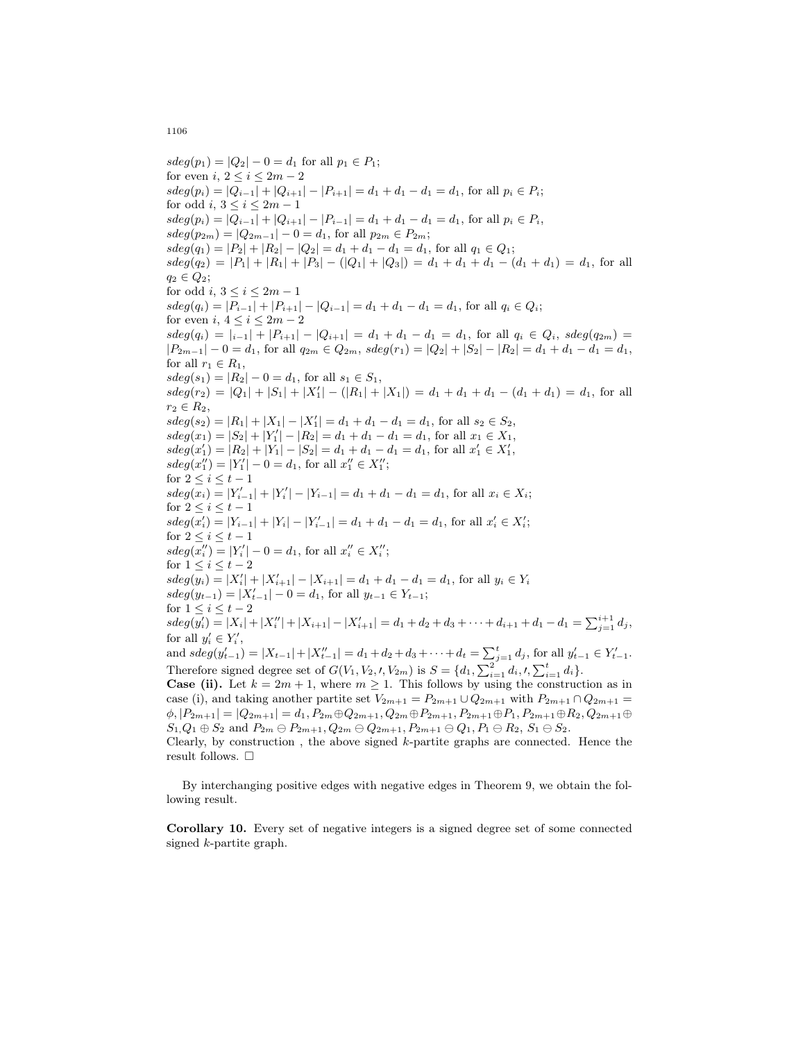$sdeg(p_1) = |Q_2| - 0 = d_1$  for all  $p_1 \in P_1$ ; for even i,  $2 \leq i \leq 2m-2$  $sdeg(p_i) = |Q_{i-1}| + |Q_{i+1}| - |P_{i+1}| = d_1 + d_1 - d_1 = d_1$ , for all  $p_i \in P_i$ ; for odd i,  $3 \leq i \leq 2m-1$  $sdeg(p_i) = |Q_{i-1}| + |Q_{i+1}| - |P_{i-1}| = d_1 + d_1 - d_1 = d_1$ , for all  $p_i \in P_i$ ,  $sdeg(p_{2m}) = |Q_{2m-1}| - 0 = d_1$ , for all  $p_{2m} \in P_{2m}$ ;  $sdeg(q_1) = |P_2| + |R_2| - |Q_2| = d_1 + d_1 - d_1 = d_1$ , for all  $q_1 \in Q_1$ ;  $sdeg(q_2) = |P_1| + |R_1| + |P_3| - (|Q_1| + |Q_3|) = d_1 + d_1 + d_1 - (d_1 + d_1) = d_1$ , for all  $q_2 \in Q_2$ ; for odd i,  $3 \leq i \leq 2m-1$  $sdeg(q_i) = |P_{i-1}| + |P_{i+1}| - |Q_{i-1}| = d_1 + d_1 - d_1 = d_1$ , for all  $q_i \in Q_i$ ; for even i,  $4 \leq i \leq 2m-2$  $sdeg(q_i) = |i-1| + |P_{i+1}| - |Q_{i+1}| = d_1 + d_1 - d_1 = d_1$ , for all  $q_i \in Q_i$ ,  $sdeg(q_{2m}) =$  $|P_{2m-1}| - 0 = d_1$ , for all  $q_{2m} \in Q_{2m}$ ,  $sdeg(r_1) = |Q_2| + |S_2| - |R_2| = d_1 + d_1 - d_1 = d_1$ , for all  $r_1 \in R_1$ ,  $sdeg(s_1) = |R_2| - 0 = d_1$ , for all  $s_1 \in S_1$ ,  $sdeg(r_2) = |Q_1| + |S_1| + |X'_1| - (|R_1| + |X_1|) = d_1 + d_1 + d_1 - (d_1 + d_1) = d_1$ , for all  $r_2 \in R_2$ ,  $sdeg(s_2) = |R_1| + |X_1| - |X'_1| = d_1 + d_1 - d_1 = d_1$ , for all  $s_2 \in S_2$ ,  $sdeg(x_1) = |S_2| + |Y_1'| - |R_2| = d_1 + d_1 - d_1 = d_1$ , for all  $x_1 \in X_1$ ,  $sdeg(x'_1) = |R_2| + |Y_1| - |S_2| = d_1 + d_1 - d_1 = d_1$ , for all  $x'_1 \in X'_1$ ,  $sdeg(x_1'') = |Y_1'| - 0 = d_1$ , for all  $x_1'' \in X_1''$ ; for  $2 \leq i \leq t-1$  $sdeg(x_i) = |Y'_{i-1}| + |Y'_{i}| - |Y_{i-1}| = d_1 + d_1 - d_1 = d_1$ , for all  $x_i \in X_i$ ; for  $2 \leq i \leq t-1$  $sdeg(x'_{i}) = |Y_{i-1}| + |Y_{i}| - |Y'_{i-1}| = d_1 + d_1 - d_1 = d_1$ , for all  $x'_{i} \in X'_{i}$ ; for  $2 \leq i \leq t-1$  $sdeg(x''_i) = |Y'_i| - 0 = d_1$ , for all  $x''_i \in X''_i$ ; for  $1 \leq i \leq t-2$  $sdeg(y_i) = |X'_i| + |X'_{i+1}| - |X_{i+1}| = d_1 + d_1 - d_1 = d_1$ , for all  $y_i \in Y_i$  $sdeg(y_{t-1}) = |X'_{t-1}| - 0 = d_1$ , for all  $y_{t-1} \in Y_{t-1}$ ; for  $1 \leq i \leq t-2$  $sdeg(y'_{i}) = |X_{i}| + |X''_{i}| + |X_{i+1}| - |X'_{i+1}| = d_{1} + d_{2} + d_{3} + \cdots + d_{i+1} + d_{1} - d_{1} = \sum_{j=1}^{i+1} d_{j},$ for all  $y'_i \in Y'_i$ , and  $sdeg(y'_{t-1}) = |X_{t-1}| + |X''_{t-1}| = d_1 + d_2 + d_3 + \cdots + d_t = \sum_{j=1}^t d_j$ , for all  $y'_{t-1} \in Y'_{t-1}$ . Therefore signed degree set of  $G(V_1, V_2, V, V_{2m})$  is  $S = \{d_1, \sum_{i=1}^2 d_i, V, \sum_{i=1}^t d_i\}.$ **Case (ii).** Let  $k = 2m + 1$ , where  $m \ge 1$ . This follows by using the construction as in case (i), and taking another partite set  $V_{2m+1} = P_{2m+1} \cup Q_{2m+1}$  with  $P_{2m+1} \cap Q_{2m+1} =$  $\phi, |P_{2m+1}| = |Q_{2m+1}| = d_1, P_{2m} \oplus Q_{2m+1}, Q_{2m} \oplus P_{2m+1}, P_{2m+1} \oplus P_1, P_{2m+1} \oplus R_2, Q_{2m+1} \oplus$  $S_1, Q_1 \oplus S_2$  and  $P_{2m} \oplus P_{2m+1}, Q_{2m} \oplus Q_{2m+1}, P_{2m+1} \oplus Q_1, P_1 \oplus R_2, S_1 \oplus S_2.$ Clearly, by construction, the above signed  $k$ -partite graphs are connected. Hence the result follows.  $\Box$ 

By interchanging positive edges with negative edges in Theorem 9, we obtain the following result.

Corollary 10. Every set of negative integers is a signed degree set of some connected signed k-partite graph.

1106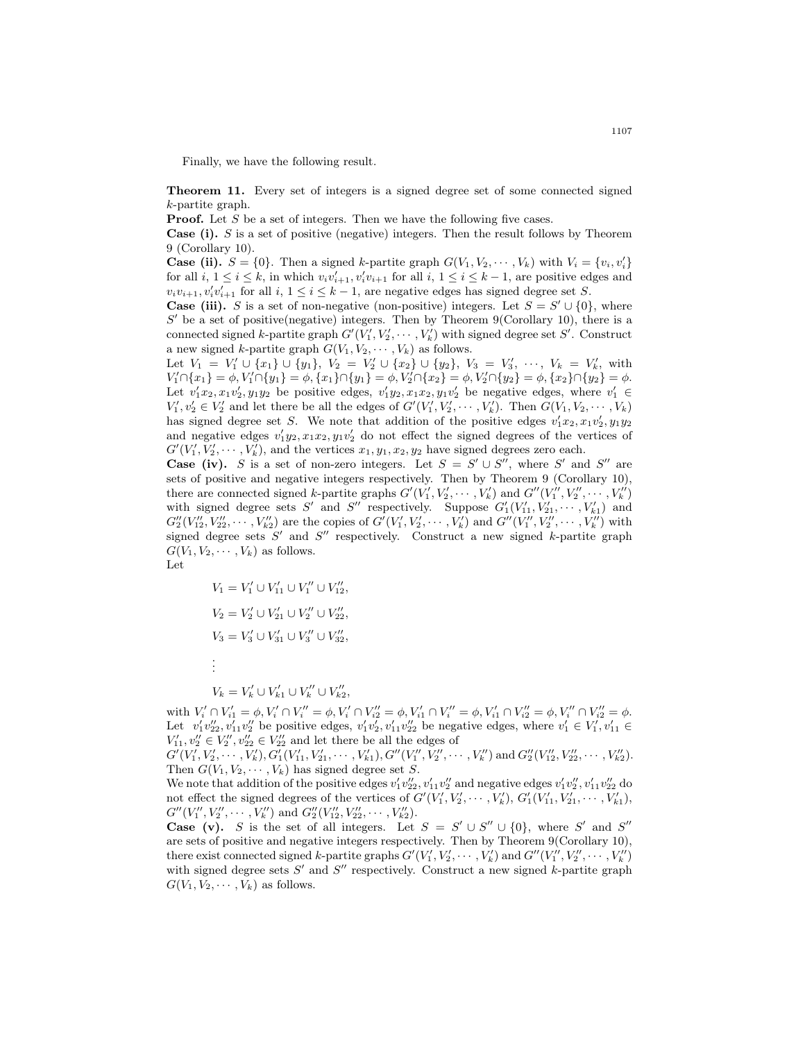Finally, we have the following result.

Theorem 11. Every set of integers is a signed degree set of some connected signed k-partite graph.

**Proof.** Let S be a set of integers. Then we have the following five cases.

**Case (i).** S is a set of positive (negative) integers. Then the result follows by Theorem 9 (Corollary 10).

**Case (ii).**  $S = \{0\}$ . Then a signed k-partite graph  $G(V_1, V_2, \dots, V_k)$  with  $V_i = \{v_i, v'_i\}$ for all  $i, 1 \leq i \leq k$ , in which  $v_i v'_{i+1}, v'_i v_{i+1}$  for all  $i, 1 \leq i \leq k-1$ , are positive edges and  $v_i v_{i+1}, v'_i v'_{i+1}$  for all  $i, 1 \le i \le k-1$ , are negative edges has signed degree set S.

**Case (iii).** S is a set of non-negative (non-positive) integers. Let  $S = S' \cup \{0\}$ , where  $S'$  be a set of positive(negative) integers. Then by Theorem 9(Corollary 10), there is a connected signed k-partite graph  $G'(V'_1, V'_2, \cdots, V'_k)$  with signed degree set S'. Construct a new signed k-partite graph  $G(V_1, V_2, \dots, V_k)$  as follows.

Let  $V_1 = V_1' \cup \{x_1\} \cup \{y_1\}, V_2 = V_2' \cup \{x_2\} \cup \{y_2\}, V_3 = V_3', \dots, V_k = V_k',$  with  $V'_1 \cap \{x_1\} = \phi, V'_1 \cap \{y_1\} = \phi, \{x_1\} \cap \{y_1\} = \phi, V'_2 \cap \{x_2\} = \phi, V'_2 \cap \{y_2\} = \phi, \{x_2\} \cap \{y_2\} = \phi.$ Let  $v'_1x_2, x_1v'_2, y_1y_2$  be positive edges,  $v'_1y_2, x_1x_2, y_1v'_2$  be negative edges, where  $v'_1 \in$  $V'_1, v'_2 \in V'_2$  and let there be all the edges of  $G'(V'_1, V'_2, \cdots, V'_k)$ . Then  $G(V_1, V_2, \cdots, V_k)$ has signed degree set S. We note that addition of the positive edges  $v'_1x_2, x_1v'_2, y_1y_2$ and negative edges  $v'_1y_2, x_1x_2, y_1v'_2$  do not effect the signed degrees of the vertices of  $G'(V'_1, V'_2, \cdots, V'_k)$ , and the vertices  $x_1, y_1, x_2, y_2$  have signed degrees zero each.

**Case (iv).** S is a set of non-zero integers. Let  $S = S' \cup S''$ , where S' and S'' are sets of positive and negative integers respectively. Then by Theorem 9 (Corollary 10), there are connected signed k-partite graphs  $G'(V'_1, V'_2, \cdots, V'_k)$  and  $G''(V''_1, V''_2, \cdots, V''_k)$ with signed degree sets S' and S'' respectively. Suppose  $G'_1(V'_{11}, V'_{21}, \cdots, V'_{k1})$  and  $G''_2(V''_{12}, V''_{22}, \cdots, V''_{k2})$  are the copies of  $G'(V'_1, V'_2, \cdots, V'_k)$  and  $G''(V''_1, V''_2, \cdots, V''_k)$  with signed degree sets  $S'$  and  $S''$  respectively. Construct a new signed k-partite graph  $G(V_1, V_2, \cdots, V_k)$  as follows.

Let

$$
\begin{array}{l} V_1=V'_1\cup V'_{11}\cup V''_1\cup V''_{12},\\[2mm] V_2=V'_2\cup V'_{21}\cup V''_2\cup V''_{22},\\[2mm] V_3=V'_3\cup V'_{31}\cup V''_3\cup V''_{32},\\[2mm] \vdots\\[2mm] V_k=V'_k\cup V'_{k1}\cup V''_k\cup V''_{k2}, \end{array}
$$

with  $V'_i \cap V'_{i1} = \phi, V'_i \cap V''_i = \phi, V'_i \cap V''_{i2} = \phi, V'_{i1} \cap V''_i = \phi, V'_{i1} \cap V''_{i2} = \phi, V''_i \cap V''_{i2} = \phi.$ Let  $v'_1v''_{22}, v'_{11}v''_2$  be positive edges,  $v'_1v'_2, v'_{11}v''_{22}$  be negative edges, where  $v'_1 \in V'_1, v'_{11} \in$  $V'_{11}, v''_2 \in V''_2, v''_{22} \in V''_{22}$  and let there be all the edges of

 $G'(V'_1, V'_2, \cdots, V'_k), G'_1(V'_{11}, V'_{21}, \cdots, V'_{k1}), G''(V''_1, V''_2, \cdots, V''_k)$  and  $G''_2(V''_{12}, V''_{22}, \cdots, V''_{k2}).$ Then  $G(V_1, V_2, \dots, V_k)$  has signed degree set S.

We note that addition of the positive edges  $v'_1v''_{22}$ ,  $v'_{11}v''_2$  and negative edges  $v'_1v''_2$ ,  $v'_{11}v''_{22}$  do not effect the signed degrees of the vertices of  $G'(V'_1, V'_2, \cdots, V'_k)$ ,  $G'_1(V'_{11}, V'_{21}, \cdots, V'_{k1})$ ,  $G''(V''_1, V''_2, \cdots, V''_k)$  and  $G''_2(V''_{12}, V''_{22}, \cdots, V''_{k2}).$ 

**Case** (v). S is the set of all integers. Let  $S = S' \cup S'' \cup \{0\}$ , where S' and S'' are sets of positive and negative integers respectively. Then by Theorem 9(Corollary 10), there exist connected signed k-partite graphs  $G'(V'_1, V'_2, \cdots, V'_k)$  and  $G''(V''_1, V''_2, \cdots, V''_k)$ with signed degree sets  $S'$  and  $S''$  respectively. Construct a new signed k-partite graph  $G(V_1, V_2, \cdots, V_k)$  as follows.